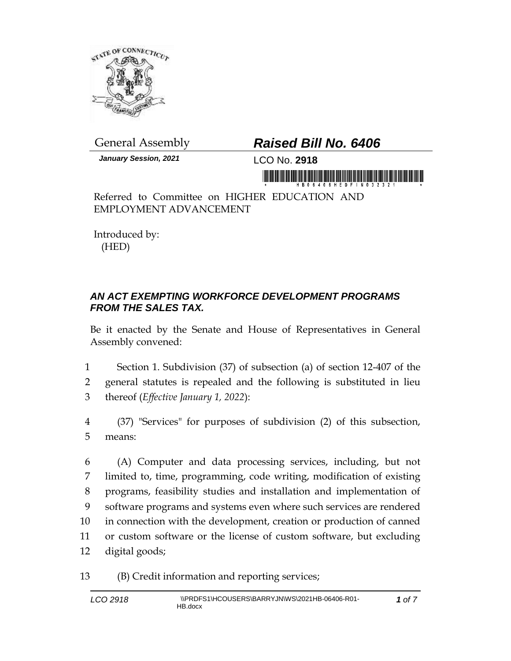

*January Session, 2021* LCO No. **2918**

## General Assembly *Raised Bill No. 6406*

Referred to Committee on HIGHER EDUCATION AND EMPLOYMENT ADVANCEMENT

Introduced by: (HED)

## *AN ACT EXEMPTING WORKFORCE DEVELOPMENT PROGRAMS FROM THE SALES TAX.*

Be it enacted by the Senate and House of Representatives in General Assembly convened:

1 Section 1. Subdivision (37) of subsection (a) of section 12-407 of the 2 general statutes is repealed and the following is substituted in lieu 3 thereof (*Effective January 1, 2022*):

4 (37) "Services" for purposes of subdivision (2) of this subsection, 5 means:

 (A) Computer and data processing services, including, but not limited to, time, programming, code writing, modification of existing programs, feasibility studies and installation and implementation of software programs and systems even where such services are rendered in connection with the development, creation or production of canned or custom software or the license of custom software, but excluding digital goods;

13 (B) Credit information and reporting services;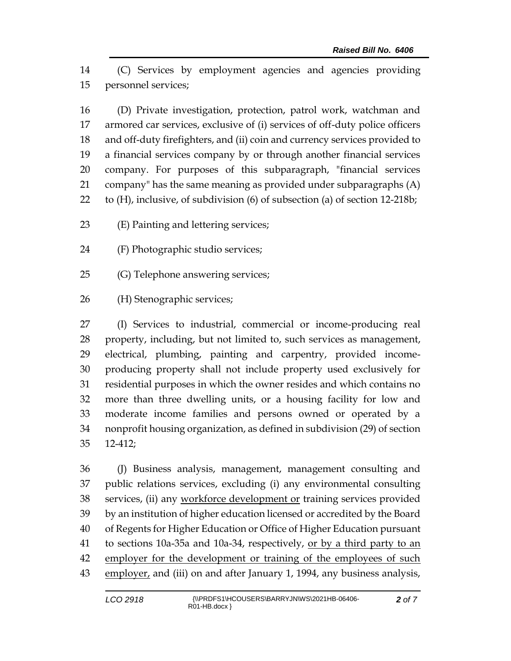(C) Services by employment agencies and agencies providing personnel services;

 (D) Private investigation, protection, patrol work, watchman and armored car services, exclusive of (i) services of off-duty police officers and off-duty firefighters, and (ii) coin and currency services provided to a financial services company by or through another financial services company. For purposes of this subparagraph, "financial services company" has the same meaning as provided under subparagraphs (A) to (H), inclusive, of subdivision (6) of subsection (a) of section 12-218b;

(E) Painting and lettering services;

- (F) Photographic studio services;
- (G) Telephone answering services;

(H) Stenographic services;

 (I) Services to industrial, commercial or income-producing real property, including, but not limited to, such services as management, electrical, plumbing, painting and carpentry, provided income- producing property shall not include property used exclusively for residential purposes in which the owner resides and which contains no more than three dwelling units, or a housing facility for low and moderate income families and persons owned or operated by a nonprofit housing organization, as defined in subdivision (29) of section 12-412;

 (J) Business analysis, management, management consulting and public relations services, excluding (i) any environmental consulting 38 services, (ii) any workforce development or training services provided by an institution of higher education licensed or accredited by the Board of Regents for Higher Education or Office of Higher Education pursuant 41 to sections 10a-35a and 10a-34, respectively, <u>or by a third party to an</u> 42 employer for the development or training of the employees of such 43 employer, and (iii) on and after January 1, 1994, any business analysis,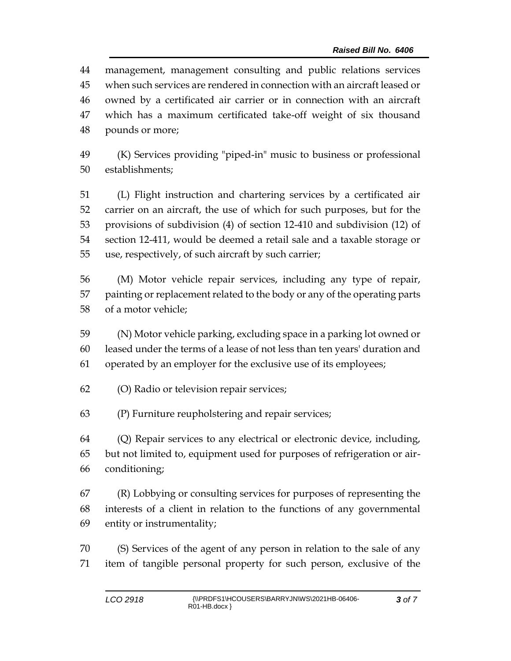management, management consulting and public relations services when such services are rendered in connection with an aircraft leased or owned by a certificated air carrier or in connection with an aircraft which has a maximum certificated take-off weight of six thousand pounds or more;

 (K) Services providing "piped-in" music to business or professional establishments;

 (L) Flight instruction and chartering services by a certificated air carrier on an aircraft, the use of which for such purposes, but for the provisions of subdivision (4) of section 12-410 and subdivision (12) of section 12-411, would be deemed a retail sale and a taxable storage or use, respectively, of such aircraft by such carrier;

 (M) Motor vehicle repair services, including any type of repair, painting or replacement related to the body or any of the operating parts of a motor vehicle;

 (N) Motor vehicle parking, excluding space in a parking lot owned or leased under the terms of a lease of not less than ten years' duration and operated by an employer for the exclusive use of its employees;

(O) Radio or television repair services;

(P) Furniture reupholstering and repair services;

 (Q) Repair services to any electrical or electronic device, including, but not limited to, equipment used for purposes of refrigeration or air-conditioning;

 (R) Lobbying or consulting services for purposes of representing the interests of a client in relation to the functions of any governmental entity or instrumentality;

 (S) Services of the agent of any person in relation to the sale of any item of tangible personal property for such person, exclusive of the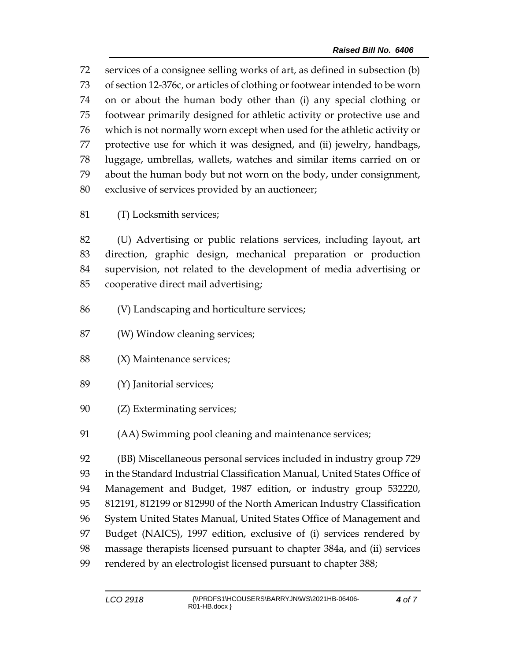services of a consignee selling works of art, as defined in subsection (b) of section 12-376c, or articles of clothing or footwear intended to be worn on or about the human body other than (i) any special clothing or footwear primarily designed for athletic activity or protective use and which is not normally worn except when used for the athletic activity or protective use for which it was designed, and (ii) jewelry, handbags, luggage, umbrellas, wallets, watches and similar items carried on or about the human body but not worn on the body, under consignment, exclusive of services provided by an auctioneer;

(T) Locksmith services;

 (U) Advertising or public relations services, including layout, art direction, graphic design, mechanical preparation or production supervision, not related to the development of media advertising or cooperative direct mail advertising;

- (V) Landscaping and horticulture services;
- (W) Window cleaning services;
- (X) Maintenance services;
- (Y) Janitorial services;
- (Z) Exterminating services;
- (AA) Swimming pool cleaning and maintenance services;

 (BB) Miscellaneous personal services included in industry group 729 in the Standard Industrial Classification Manual, United States Office of Management and Budget, 1987 edition, or industry group 532220, 812191, 812199 or 812990 of the North American Industry Classification System United States Manual, United States Office of Management and Budget (NAICS), 1997 edition, exclusive of (i) services rendered by massage therapists licensed pursuant to chapter 384a, and (ii) services rendered by an electrologist licensed pursuant to chapter 388;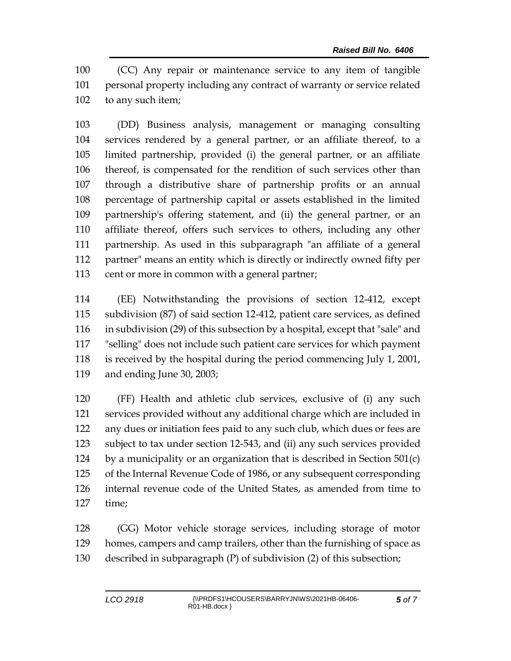(CC) Any repair or maintenance service to any item of tangible personal property including any contract of warranty or service related to any such item;

 (DD) Business analysis, management or managing consulting services rendered by a general partner, or an affiliate thereof, to a limited partnership, provided (i) the general partner, or an affiliate thereof, is compensated for the rendition of such services other than through a distributive share of partnership profits or an annual percentage of partnership capital or assets established in the limited partnership's offering statement, and (ii) the general partner, or an affiliate thereof, offers such services to others, including any other partnership. As used in this subparagraph "an affiliate of a general partner" means an entity which is directly or indirectly owned fifty per 113 cent or more in common with a general partner;

 (EE) Notwithstanding the provisions of section 12-412, except subdivision (87) of said section 12-412, patient care services, as defined in subdivision (29) of this subsection by a hospital, except that "sale" and "selling" does not include such patient care services for which payment is received by the hospital during the period commencing July 1, 2001, and ending June 30, 2003;

 (FF) Health and athletic club services, exclusive of (i) any such services provided without any additional charge which are included in any dues or initiation fees paid to any such club, which dues or fees are subject to tax under section 12-543, and (ii) any such services provided 124 by a municipality or an organization that is described in Section  $501(c)$  of the Internal Revenue Code of 1986, or any subsequent corresponding internal revenue code of the United States, as amended from time to time;

 (GG) Motor vehicle storage services, including storage of motor homes, campers and camp trailers, other than the furnishing of space as described in subparagraph (P) of subdivision (2) of this subsection;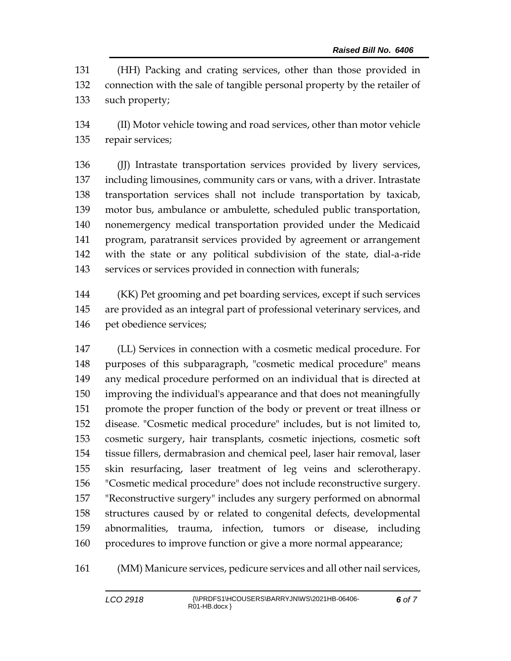(HH) Packing and crating services, other than those provided in connection with the sale of tangible personal property by the retailer of such property;

 (II) Motor vehicle towing and road services, other than motor vehicle repair services;

 (JJ) Intrastate transportation services provided by livery services, including limousines, community cars or vans, with a driver. Intrastate transportation services shall not include transportation by taxicab, motor bus, ambulance or ambulette, scheduled public transportation, nonemergency medical transportation provided under the Medicaid program, paratransit services provided by agreement or arrangement with the state or any political subdivision of the state, dial-a-ride services or services provided in connection with funerals;

 (KK) Pet grooming and pet boarding services, except if such services are provided as an integral part of professional veterinary services, and pet obedience services;

 (LL) Services in connection with a cosmetic medical procedure. For purposes of this subparagraph, "cosmetic medical procedure" means any medical procedure performed on an individual that is directed at improving the individual's appearance and that does not meaningfully promote the proper function of the body or prevent or treat illness or disease. "Cosmetic medical procedure" includes, but is not limited to, cosmetic surgery, hair transplants, cosmetic injections, cosmetic soft tissue fillers, dermabrasion and chemical peel, laser hair removal, laser skin resurfacing, laser treatment of leg veins and sclerotherapy. "Cosmetic medical procedure" does not include reconstructive surgery. "Reconstructive surgery" includes any surgery performed on abnormal structures caused by or related to congenital defects, developmental abnormalities, trauma, infection, tumors or disease, including procedures to improve function or give a more normal appearance;

(MM) Manicure services, pedicure services and all other nail services,